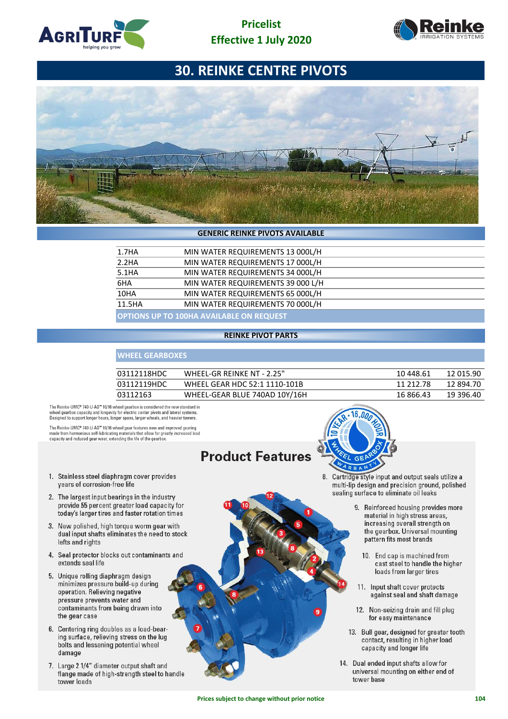





#### **GENERIC REINKE PIVOTS AVAILABLE**

| 1.7HA  | MIN WATER REQUIREMENTS 13 000L/H                |  |  |  |  |
|--------|-------------------------------------------------|--|--|--|--|
| 2.2HA  | MIN WATER REQUIREMENTS 17 000L/H                |  |  |  |  |
| 5.1HA  | MIN WATER REQUIREMENTS 34 000L/H                |  |  |  |  |
| 6HA    | MIN WATER REQUIREMENTS 39 000 L/H               |  |  |  |  |
| 10HA   | MIN WATER REQUIREMENTS 65 000L/H                |  |  |  |  |
| 11.5HA | MIN WATER REQUIREMENTS 70 000L/H                |  |  |  |  |
|        | <b>OPTIONS UP TO 100HA AVAILABLE ON REQUEST</b> |  |  |  |  |

#### **REINKE PIVOT PARTS**

### **WHEEL GEARBOXES**

| 03112118HDC | WHEEL-GR REINKE NT - 2.25"    | 10 448.61 | 12 015.90 |
|-------------|-------------------------------|-----------|-----------|
| 03112119HDC | WHEEL GEAR HDC 52:1 1110-101B | 11 212 78 | 12 894.70 |
| 03112163    | WHEEL-GEAR BLUE 740AD 10Y/16H | 16 866.43 | 19 396.40 |

The Reinke-UMC® 740-U-AD<sup>ne</sup> 10/16 wheel gearbox is considered the new standard in wheel gearbox capacity and longevity for electric center pivots and lateral systems.<br>Designed to support longer hours, longer spans, large

The Reinke-UMC® 740-U-AD™ 10/16 wheel gear features new and improved gearing made from harmonious self-lubricating materials that allow for greatly increased load<br>capacity and reduced gear wear, extending the life of the gearbox.

# **Product Features**

- 1. Stainless steel diaphragm cover provides years of corrosion-free life
- 2. The largest input bearings in the industry provide 55 percent greater load capacity for today's larger tires and faster rotation times
- 3. New polished, high torque worm gear with dual input shafts eliminates the need to stock lefts and rights
- 4. Seal protector blocks out contaminants and extends seal life
- 5. Unique rolling diaphragm design minimizes pressure build-up during operation. Relieving negative pressure prevents water and contaminants from being drawn into the gear case
- 6. Centering ring doubles as a load-bearing surface, relieving stress on the lug bolts and lessening potential wheel damage
- 7. Large 2 1/4" diameter output shaft and flange made of high-strength steel to handle tower loads



8. Cartridge style input and output seals utilize a multi-lip design and precision ground, polished sealing surface to eliminate oil leaks

- 9. Reinforced housing provides more material in high stress areas, increasing overall strength on the gearbox. Universal mounting pattern fits most brands
	- 10. End cap is machined from cast steel to handle the higher loads from larger tires
- 11. Input shaft cover protects against seal and shaft damage
- 12. Non-seizing drain and fill plug for easy maintenance
- 13. Bull gear, designed for greater tooth contact, resulting in higher load capacity and longer life
- 14. Dual ended input shafts allow for universal mounting on either end of tower base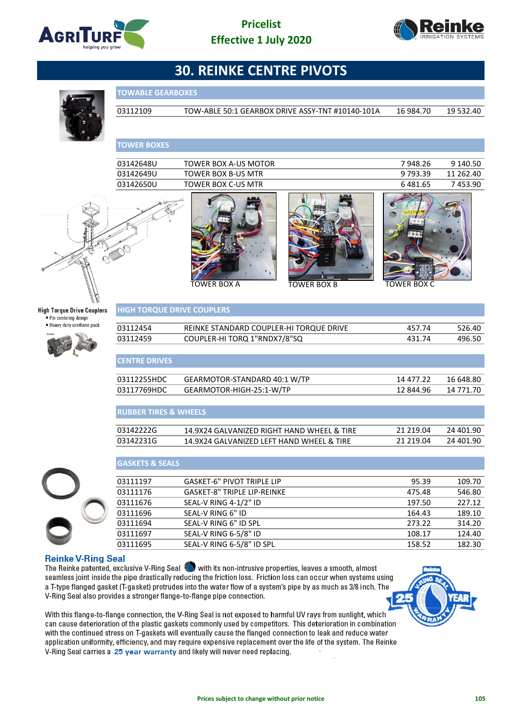





03112109 TOW-ABLE 50:1 GEARBOX DRIVE ASSY-TNT #10140-101A 16 984.70 19 532.40

# **TOWER BOXES**

**TOWABLE GEARBOXES**

|                                                             | 03142648U                         | <b>TOWER BOX A-US MOTOR</b>                |                    | 7948.26            | 9 140.50  |
|-------------------------------------------------------------|-----------------------------------|--------------------------------------------|--------------------|--------------------|-----------|
|                                                             | 03142649U                         | <b>TOWER BOX B-US MTR</b>                  |                    | 9793.39            | 11 262.40 |
|                                                             | 03142650U                         | <b>TOWER BOX C-US MTR</b>                  |                    | 6 481.65           | 7453.90   |
|                                                             |                                   | <b>TOWER BOX A</b>                         | <b>TOWER BOX B</b> | <b>TOWER BOX C</b> |           |
| <b>High Torque Drive Couplers</b><br>• Pin centering design | <b>HIGH TORQUE DRIVE COUPLERS</b> |                                            |                    |                    |           |
| • Heavy duty urethane puck                                  | 03112454                          | REINKE STANDARD COUPLER-HI TORQUE DRIVE    |                    | 457.74             | 526.40    |
|                                                             | 03112459                          | COUPLER-HI TORQ 1"RNDX7/8"SQ               |                    | 431.74             | 496.50    |
|                                                             |                                   |                                            |                    |                    |           |
|                                                             | <b>CENTRE DRIVES</b>              |                                            |                    |                    |           |
|                                                             | 03112255HDC                       | GEARMOTOR-STANDARD 40:1 W/TP               |                    | 14 477.22          | 16 648.80 |
|                                                             | 03117769HDC                       | GEARMOTOR-HIGH-25:1-W/TP                   |                    | 12 844.96          | 14 771.70 |
|                                                             |                                   |                                            |                    |                    |           |
|                                                             | <b>RUBBER TIRES &amp; WHEELS</b>  |                                            |                    |                    |           |
|                                                             | 03142222G                         | 14.9X24 GALVANIZED RIGHT HAND WHEEL & TIRE |                    | 21 219.04          | 24 401.90 |
|                                                             | 03142231G                         | 14.9X24 GALVANIZED LEFT HAND WHEEL & TIRE  |                    | 21 219.04          | 24 401.90 |
|                                                             |                                   |                                            |                    |                    |           |
|                                                             | <b>GASKETS &amp; SEALS</b>        |                                            |                    |                    |           |
|                                                             | 03111197                          | <b>GASKET-6" PIVOT TRIPLE LIP</b>          |                    | 95.39              | 109.70    |
|                                                             | 03111176                          | <b>GASKET-8" TRIPLE LIP-REINKE</b>         |                    | 475.48             | 546.80    |
|                                                             | 03111676                          | SEAL-V RING 4-1/2" ID                      |                    | 197.50             | 227.12    |
|                                                             | 03111696                          | SEAL-V RING 6" ID                          |                    | 164.43             | 189.10    |
|                                                             | 03111694                          | SEAL-V RING 6" ID SPL                      |                    | 273.22             | 314.20    |

03111697 SEAL-V RING 6-5/8" ID 108.17 124.40 03111695 SEAL-V RING 6-5/8" ID SPL 158.52 182.30

#### **Reinke V-Ring Seal**

The Reinke patented, exclusive V-Ring Seal with its non-intrusive properties, leaves a smooth, almost seamless joint inside the pipe drastically reducing the friction loss. Friction loss can occur when systems using a T-type flanged gasket (T-gasket) protrudes into the water flow of a system's pipe by as much as 3/8 inch. The V-Ring Seal also provides a stronger flange-to-flange pipe connection.

With this flange-to-flange connection, the V-Ring Seal is not exposed to harmful UV rays from sunlight, which can cause deterioration of the plastic gaskets commonly used by competitors. This deterioration in combination with the continued stress on T-gaskets will eventually cause the flanged connection to leak and reduce water application uniformity, efficiency, and may require expensive replacement over the life of the system. The Reinke V-Ring Seal carries a 25 year warranty and likely will never need replacing.

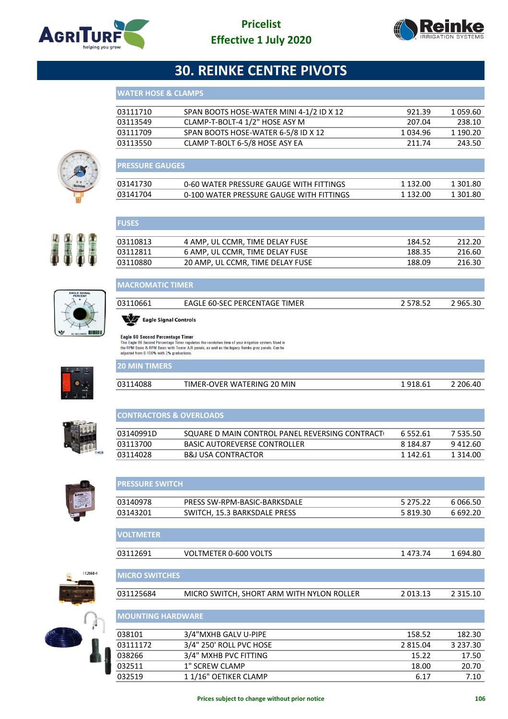



| <b>WATER HOSE &amp; CLAMPS</b> |  |  |  |
|--------------------------------|--|--|--|
|--------------------------------|--|--|--|

| 03111710 | SPAN BOOTS HOSE-WATER MINI 4-1/2 ID X 12 | 921.39   | 1 059.60 |
|----------|------------------------------------------|----------|----------|
| 03113549 | CLAMP-T-BOLT-4 1/2" HOSE ASY M           | 207.04   | 238.10   |
| 03111709 | SPAN BOOTS HOSE-WATER 6-5/8 ID X 12      | 1 034.96 | 1 190.20 |
| 03113550 | CLAMP T-BOLT 6-5/8 HOSE ASY EA           | 211 74   | 243.50   |
|          |                                          |          |          |



| <b>I PRESSURE GAUGES</b> |                                          |          |          |
|--------------------------|------------------------------------------|----------|----------|
| 03141730                 | 0-60 WATER PRESSURE GAUGE WITH FITTINGS  | 1 132.00 | 1 301.80 |
| 03141704                 | 0-100 WATER PRESSURE GAUGE WITH FITTINGS | 1 132.00 | 1 301.80 |

# 

**FUSES**

| 03110813 | 4 AMP. UL CCMR. TIME DELAY FUSE  | 184.52 | 212.20 |
|----------|----------------------------------|--------|--------|
| 03112811 | 6 AMP. UL CCMR. TIME DELAY FUSE  | 188.35 | 216.60 |
| 03110880 | 20 AMP. UL CCMR. TIME DELAY FUSE | 188.09 | 216.30 |
|          |                                  |        |        |



## **MACROMATIC TIMER**

| 03110661              | EAGLE 60-SEC PERCENTAGE TIMER | 2 578.52 | 2965.30 |
|-----------------------|-------------------------------|----------|---------|
| Eagle Signal Controls |                               |          |         |

**CONTRACTORS & OVERLOADS**

**20 MIN TIMERS**

**VOLTMETER**

Eagle 60 Second Percentage Timer<br>This Eagle 60 Second Percentage Timer regulates the revolution time of your irrigation system. Used in<br>the RPM Basic & RPM Basic with Tower A/R panels, as well as the legacy Reinke gray pan

| 14088<br>በ31 | TIMER-OVER WATERING 20 MIN | 918.61 | ገበ6 . |
|--------------|----------------------------|--------|-------|



| 03113700               | <b>BASIC AUTOREVERSE CONTROLLER</b> | 8 184.87 | 9412.60     |
|------------------------|-------------------------------------|----------|-------------|
| 03114028               | <b>B&amp;J USA CONTRACTOR</b>       | 1 142.61 | 1 3 1 4 .00 |
|                        |                                     |          |             |
|                        |                                     |          |             |
| <b>PRESSURE SWITCH</b> |                                     |          |             |
|                        |                                     |          |             |

03140991D SQUARE D MAIN CONTROL PANEL REVERSING CONTRACT 6 552.61 7 535.50<br>03113700 BASIC AUTOREVERSE CONTROLLER 8 184.87 9 412.60

| 03140978 | PRESS SW-RPM-BASIC-BARKSDALE | 5 2 7 5 2 2 | 6.066.50 |
|----------|------------------------------|-------------|----------|
| 03143201 | SWITCH, 15.3 BARKSDALE PRESS | 5 819.30    | 6 692.2Ր |
|          |                              |             |          |

| <u>IVYETIVILILINI</u> |                       |          |         |
|-----------------------|-----------------------|----------|---------|
|                       |                       |          |         |
| 03112691              | VOLTMETER 0-600 VOLTS | 1 473.74 | 1694.80 |
|                       |                       |          |         |
|                       |                       |          |         |
| I MICRO SWITCHES'     |                       |          |         |



| 031125684 | MICRO SWITCH, SHORT ARM WITH NYLON ROLLER | 2 013.13 | 2 315.10 |
|-----------|-------------------------------------------|----------|----------|
|           |                                           |          |          |

| <b>IMOUNTING HARDWARE</b> |                         |          |               |  |
|---------------------------|-------------------------|----------|---------------|--|
| 038101                    | 3/4"MXHB GALV U-PIPE    | 158.52   | 182.30        |  |
| 03111172                  | 3/4" 250' ROLL PVC HOSE | 2 815.04 | 3 2 3 7 . 3 0 |  |
| 038266                    | 3/4" MXHB PVC FITTING   | 15.22    | 17.50         |  |
| 032511                    | 1" SCREW CLAMP          | 18.00    | 20.70         |  |
| 032519                    | 11/16" OETIKER CLAMP    | 6.17     | 7.10          |  |